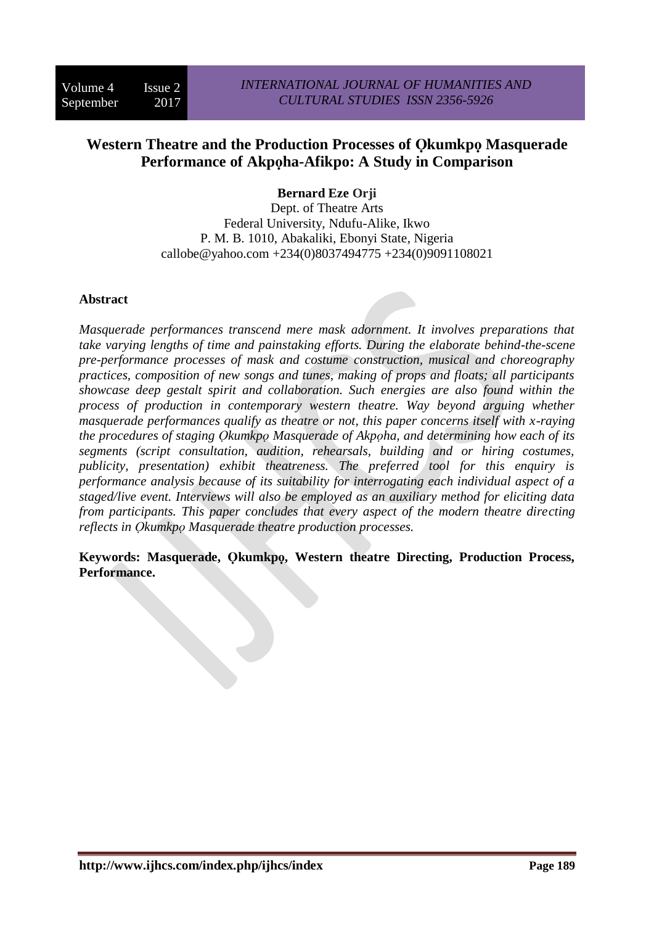# **Western Theatre and the Production Processes of Ọkumkpọ Masquerade Performance of Akpọha-Afikpo: A Study in Comparison**

## **Bernard Eze Orji**

Dept. of Theatre Arts Federal University, Ndufu-Alike, Ikwo P. M. B. 1010, Abakaliki, Ebonyi State, Nigeria callobe@yahoo.com +234(0)8037494775 +234(0)9091108021

#### **Abstract**

*Masquerade performances transcend mere mask adornment. It involves preparations that take varying lengths of time and painstaking efforts. During the elaborate behind-the-scene pre-performance processes of mask and costume construction, musical and choreography practices, composition of new songs and tunes, making of props and floats; all participants showcase deep gestalt spirit and collaboration. Such energies are also found within the process of production in contemporary western theatre. Way beyond arguing whether masquerade performances qualify as theatre or not, this paper concerns itself with x-raying the procedures of staging Ọkumkpọ Masquerade of Akpọha, and determining how each of its segments (script consultation, audition, rehearsals, building and or hiring costumes, publicity, presentation) exhibit theatreness. The preferred tool for this enquiry is performance analysis because of its suitability for interrogating each individual aspect of a staged/live event. Interviews will also be employed as an auxiliary method for eliciting data from participants. This paper concludes that every aspect of the modern theatre directing reflects in Ọkumkpọ Masquerade theatre production processes.*

**Keywords: Masquerade, Ọkumkpọ, Western theatre Directing, Production Process, Performance.**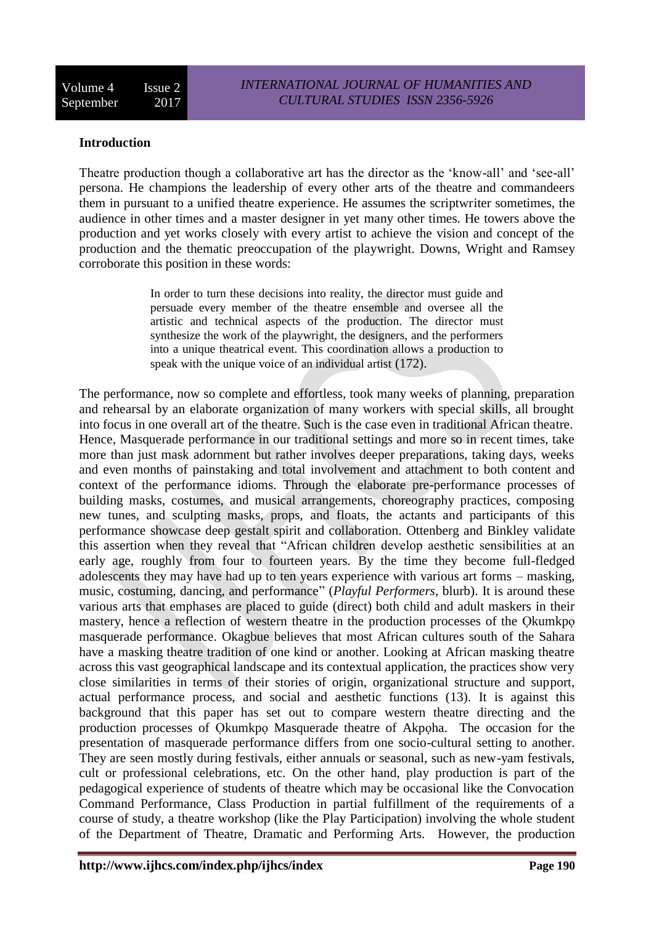#### **Introduction**

Theatre production though a collaborative art has the director as the 'know-all' and 'see-all' persona. He champions the leadership of every other arts of the theatre and commandeers them in pursuant to a unified theatre experience. He assumes the scriptwriter sometimes, the audience in other times and a master designer in yet many other times. He towers above the production and yet works closely with every artist to achieve the vision and concept of the production and the thematic preoccupation of the playwright. Downs, Wright and Ramsey corroborate this position in these words:

> In order to turn these decisions into reality, the director must guide and persuade every member of the theatre ensemble and oversee all the artistic and technical aspects of the production. The director must synthesize the work of the playwright, the designers, and the performers into a unique theatrical event. This coordination allows a production to speak with the unique voice of an individual artist (172).

The performance, now so complete and effortless, took many weeks of planning, preparation and rehearsal by an elaborate organization of many workers with special skills, all brought into focus in one overall art of the theatre. Such is the case even in traditional African theatre. Hence, Masquerade performance in our traditional settings and more so in recent times, take more than just mask adornment but rather involves deeper preparations, taking days, weeks and even months of painstaking and total involvement and attachment to both content and context of the performance idioms. Through the elaborate pre-performance processes of building masks, costumes, and musical arrangements, choreography practices, composing new tunes, and sculpting masks, props, and floats, the actants and participants of this performance showcase deep gestalt spirit and collaboration. Ottenberg and Binkley validate this assertion when they reveal that "African children develop aesthetic sensibilities at an early age, roughly from four to fourteen years. By the time they become full-fledged adolescents they may have had up to ten years experience with various art forms – masking, music, costuming, dancing, and performance" (*Playful Performers*, blurb). It is around these various arts that emphases are placed to guide (direct) both child and adult maskers in their mastery, hence a reflection of western theatre in the production processes of the Okumkpo masquerade performance. Okagbue believes that most African cultures south of the Sahara have a masking theatre tradition of one kind or another. Looking at African masking theatre across this vast geographical landscape and its contextual application, the practices show very close similarities in terms of their stories of origin, organizational structure and support, actual performance process, and social and aesthetic functions (13). It is against this background that this paper has set out to compare western theatre directing and the production processes of Ọkumkpọ Masquerade theatre of Akpọha. The occasion for the presentation of masquerade performance differs from one socio-cultural setting to another. They are seen mostly during festivals, either annuals or seasonal, such as new-yam festivals, cult or professional celebrations, etc. On the other hand, play production is part of the pedagogical experience of students of theatre which may be occasional like the Convocation Command Performance, Class Production in partial fulfillment of the requirements of a course of study, a theatre workshop (like the Play Participation) involving the whole student of the Department of Theatre, Dramatic and Performing Arts. However, the production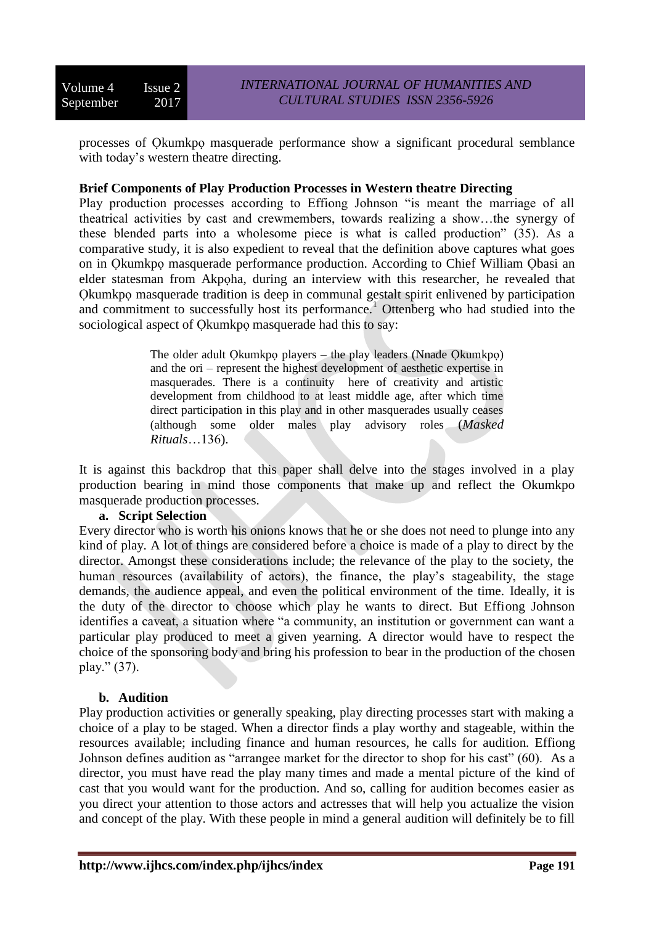processes of Ọkumkpọ masquerade performance show a significant procedural semblance with today's western theatre directing.

## **Brief Components of Play Production Processes in Western theatre Directing**

Play production processes according to Effiong Johnson "is meant the marriage of all theatrical activities by cast and crewmembers, towards realizing a show…the synergy of these blended parts into a wholesome piece is what is called production" (35). As a comparative study, it is also expedient to reveal that the definition above captures what goes on in Ọkumkpọ masquerade performance production. According to Chief William Ọbasi an elder statesman from Akpọha, during an interview with this researcher, he revealed that Ọkumkpọ masquerade tradition is deep in communal gestalt spirit enlivened by participation and commitment to successfully host its performance.<sup>1</sup> Ottenberg who had studied into the sociological aspect of Qkumkpo masquerade had this to say:

> The older adult Ọkumkpọ players – the play leaders (Nnade Ọkumkpọ) and the ori – represent the highest development of aesthetic expertise in masquerades. There is a continuity here of creativity and artistic development from childhood to at least middle age, after which time direct participation in this play and in other masquerades usually ceases (although some older males play advisory roles (*Masked Rituals*…136).

It is against this backdrop that this paper shall delve into the stages involved in a play production bearing in mind those components that make up and reflect the Okumkpo masquerade production processes.

#### **a. Script Selection**

Every director who is worth his onions knows that he or she does not need to plunge into any kind of play. A lot of things are considered before a choice is made of a play to direct by the director. Amongst these considerations include; the relevance of the play to the society, the human resources (availability of actors), the finance, the play's stageability, the stage demands, the audience appeal, and even the political environment of the time. Ideally, it is the duty of the director to choose which play he wants to direct. But Effiong Johnson identifies a caveat, a situation where "a community, an institution or government can want a particular play produced to meet a given yearning. A director would have to respect the choice of the sponsoring body and bring his profession to bear in the production of the chosen play." (37).

## **b. Audition**

Play production activities or generally speaking, play directing processes start with making a choice of a play to be staged. When a director finds a play worthy and stageable, within the resources available; including finance and human resources, he calls for audition. Effiong Johnson defines audition as "arrangee market for the director to shop for his cast" (60). As a director, you must have read the play many times and made a mental picture of the kind of cast that you would want for the production. And so, calling for audition becomes easier as you direct your attention to those actors and actresses that will help you actualize the vision and concept of the play. With these people in mind a general audition will definitely be to fill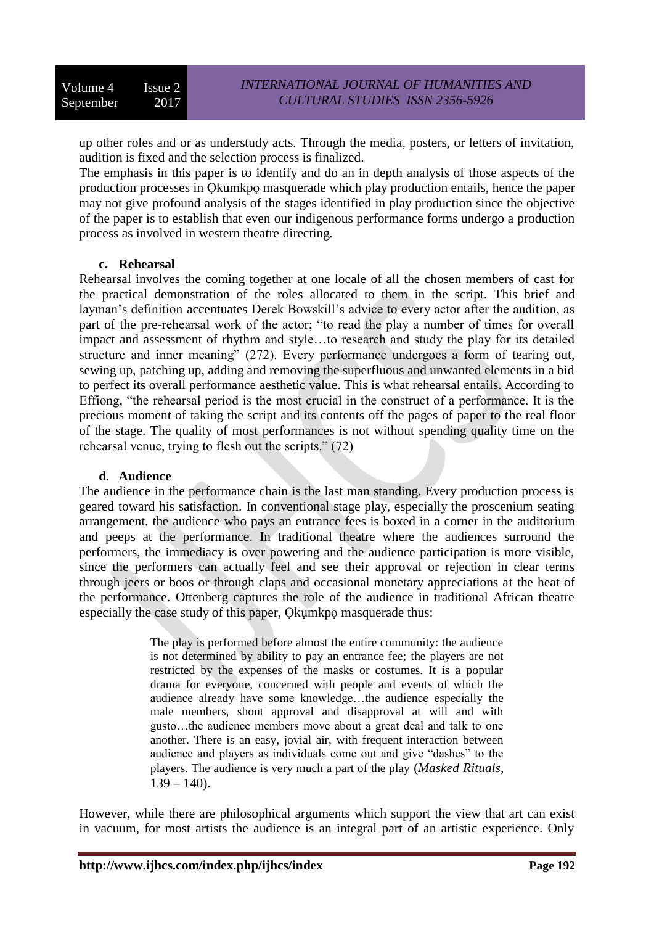up other roles and or as understudy acts. Through the media, posters, or letters of invitation, audition is fixed and the selection process is finalized.

The emphasis in this paper is to identify and do an in depth analysis of those aspects of the production processes in Okumkpo masquerade which play production entails, hence the paper may not give profound analysis of the stages identified in play production since the objective of the paper is to establish that even our indigenous performance forms undergo a production process as involved in western theatre directing.

#### **c. Rehearsal**

Rehearsal involves the coming together at one locale of all the chosen members of cast for the practical demonstration of the roles allocated to them in the script. This brief and layman's definition accentuates Derek Bowskill's advice to every actor after the audition, as part of the pre-rehearsal work of the actor; "to read the play a number of times for overall impact and assessment of rhythm and style…to research and study the play for its detailed structure and inner meaning" (272). Every performance undergoes a form of tearing out, sewing up, patching up, adding and removing the superfluous and unwanted elements in a bid to perfect its overall performance aesthetic value. This is what rehearsal entails. According to Effiong, "the rehearsal period is the most crucial in the construct of a performance. It is the precious moment of taking the script and its contents off the pages of paper to the real floor of the stage. The quality of most performances is not without spending quality time on the rehearsal venue, trying to flesh out the scripts." (72)

#### **d. Audience**

The audience in the performance chain is the last man standing. Every production process is geared toward his satisfaction. In conventional stage play, especially the proscenium seating arrangement, the audience who pays an entrance fees is boxed in a corner in the auditorium and peeps at the performance. In traditional theatre where the audiences surround the performers, the immediacy is over powering and the audience participation is more visible, since the performers can actually feel and see their approval or rejection in clear terms through jeers or boos or through claps and occasional monetary appreciations at the heat of the performance. Ottenberg captures the role of the audience in traditional African theatre especially the case study of this paper, Ọkụmkpọ masquerade thus:

> The play is performed before almost the entire community: the audience is not determined by ability to pay an entrance fee; the players are not restricted by the expenses of the masks or costumes. It is a popular drama for everyone, concerned with people and events of which the audience already have some knowledge…the audience especially the male members, shout approval and disapproval at will and with gusto…the audience members move about a great deal and talk to one another. There is an easy, jovial air, with frequent interaction between audience and players as individuals come out and give "dashes" to the players. The audience is very much a part of the play (*Masked Rituals*,  $139 - 140$ ).

However, while there are philosophical arguments which support the view that art can exist in vacuum, for most artists the audience is an integral part of an artistic experience. Only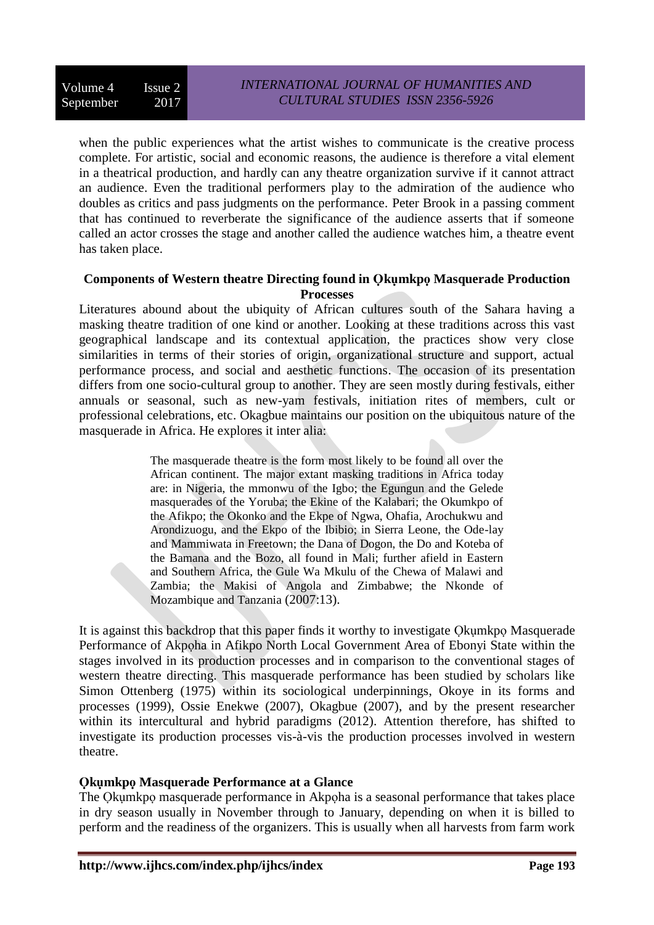when the public experiences what the artist wishes to communicate is the creative process complete. For artistic, social and economic reasons, the audience is therefore a vital element in a theatrical production, and hardly can any theatre organization survive if it cannot attract an audience. Even the traditional performers play to the admiration of the audience who doubles as critics and pass judgments on the performance. Peter Brook in a passing comment that has continued to reverberate the significance of the audience asserts that if someone called an actor crosses the stage and another called the audience watches him, a theatre event has taken place.

#### **Components of Western theatre Directing found in Ọkụmkpọ Masquerade Production Processes**

Literatures abound about the ubiquity of African cultures south of the Sahara having a masking theatre tradition of one kind or another. Looking at these traditions across this vast geographical landscape and its contextual application, the practices show very close similarities in terms of their stories of origin, organizational structure and support, actual performance process, and social and aesthetic functions. The occasion of its presentation differs from one socio-cultural group to another. They are seen mostly during festivals, either annuals or seasonal, such as new-yam festivals, initiation rites of members, cult or professional celebrations, etc. Okagbue maintains our position on the ubiquitous nature of the masquerade in Africa. He explores it inter alia:

> The masquerade theatre is the form most likely to be found all over the African continent. The major extant masking traditions in Africa today are: in Nigeria, the mmonwu of the Igbo; the Egungun and the Gelede masquerades of the Yoruba; the Ekine of the Kalabari; the Okumkpo of the Afikpo; the Okonko and the Ekpe of Ngwa, Ohafia, Arochukwu and Arondizuogu, and the Ekpo of the Ibibio; in Sierra Leone, the Ode-lay and Mammiwata in Freetown; the Dana of Dogon, the Do and Koteba of the Bamana and the Bozo, all found in Mali; further afield in Eastern and Southern Africa, the Gule Wa Mkulu of the Chewa of Malawi and Zambia; the Makisi of Angola and Zimbabwe; the Nkonde of Mozambique and Tanzania (2007:13).

It is against this backdrop that this paper finds it worthy to investigate Ọkụmkpọ Masquerade Performance of Akpọha in Afikpo North Local Government Area of Ebonyi State within the stages involved in its production processes and in comparison to the conventional stages of western theatre directing. This masquerade performance has been studied by scholars like Simon Ottenberg (1975) within its sociological underpinnings, Okoye in its forms and processes (1999), Ossie Enekwe (2007), Okagbue (2007), and by the present researcher within its intercultural and hybrid paradigms (2012). Attention therefore, has shifted to investigate its production processes vis-à-vis the production processes involved in western theatre.

## **Ọkụmkpọ Masquerade Performance at a Glance**

The Ọkụmkpọ masquerade performance in Akpọha is a seasonal performance that takes place in dry season usually in November through to January, depending on when it is billed to perform and the readiness of the organizers. This is usually when all harvests from farm work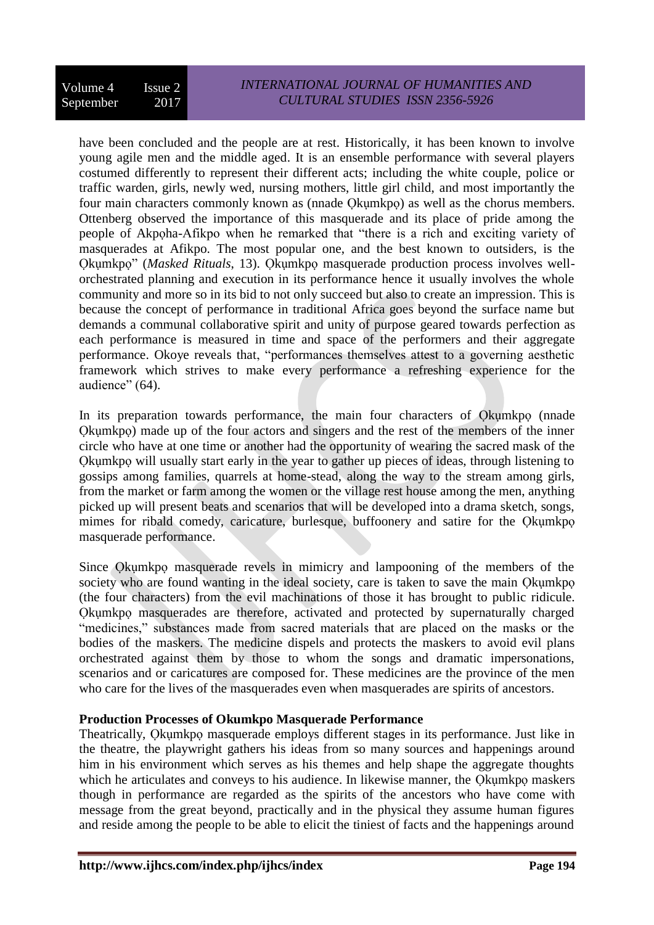have been concluded and the people are at rest. Historically, it has been known to involve young agile men and the middle aged. It is an ensemble performance with several players costumed differently to represent their different acts; including the white couple, police or traffic warden, girls, newly wed, nursing mothers, little girl child, and most importantly the four main characters commonly known as (nnade Ọkụmkpọ) as well as the chorus members. Ottenberg observed the importance of this masquerade and its place of pride among the people of Akpọha-Afikpo when he remarked that "there is a rich and exciting variety of masquerades at Afikpo. The most popular one, and the best known to outsiders, is the Ọkụmkpọ" (*Masked Rituals*, 13). Ọkụmkpọ masquerade production process involves wellorchestrated planning and execution in its performance hence it usually involves the whole community and more so in its bid to not only succeed but also to create an impression. This is because the concept of performance in traditional Africa goes beyond the surface name but demands a communal collaborative spirit and unity of purpose geared towards perfection as each performance is measured in time and space of the performers and their aggregate performance. Okoye reveals that, "performances themselves attest to a governing aesthetic framework which strives to make every performance a refreshing experience for the audience" (64).

In its preparation towards performance, the main four characters of Okumkpo (nnade Ọkụmkpọ) made up of the four actors and singers and the rest of the members of the inner circle who have at one time or another had the opportunity of wearing the sacred mask of the Ọkụmkpọ will usually start early in the year to gather up pieces of ideas, through listening to gossips among families, quarrels at home-stead, along the way to the stream among girls, from the market or farm among the women or the village rest house among the men, anything picked up will present beats and scenarios that will be developed into a drama sketch, songs, mimes for ribald comedy, caricature, burlesque, buffoonery and satire for the Ọkụmkpọ masquerade performance.

Since Ọkụmkpọ masquerade revels in mimicry and lampooning of the members of the society who are found wanting in the ideal society, care is taken to save the main Q kumkpo (the four characters) from the evil machinations of those it has brought to public ridicule. Ọkụmkpọ masquerades are therefore, activated and protected by supernaturally charged "medicines," substances made from sacred materials that are placed on the masks or the bodies of the maskers. The medicine dispels and protects the maskers to avoid evil plans orchestrated against them by those to whom the songs and dramatic impersonations, scenarios and or caricatures are composed for. These medicines are the province of the men who care for the lives of the masquerades even when masquerades are spirits of ancestors.

## **Production Processes of Okumkpo Masquerade Performance**

Theatrically, Ọkụmkpọ masquerade employs different stages in its performance. Just like in the theatre, the playwright gathers his ideas from so many sources and happenings around him in his environment which serves as his themes and help shape the aggregate thoughts which he articulates and conveys to his audience. In likewise manner, the Qkumkpo maskers though in performance are regarded as the spirits of the ancestors who have come with message from the great beyond, practically and in the physical they assume human figures and reside among the people to be able to elicit the tiniest of facts and the happenings around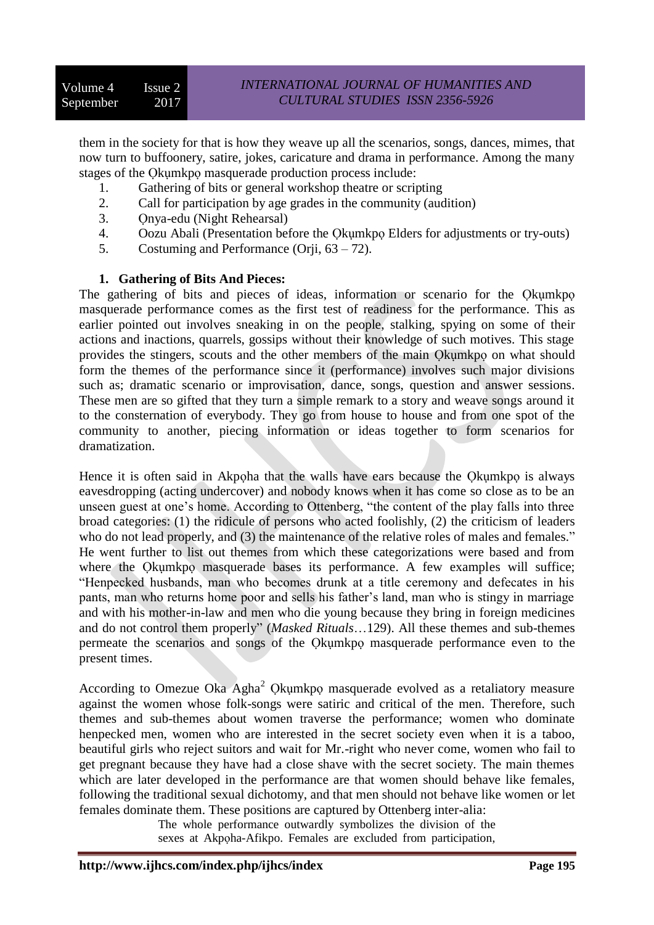them in the society for that is how they weave up all the scenarios, songs, dances, mimes, that now turn to buffoonery, satire, jokes, caricature and drama in performance. Among the many stages of the Ọkụmkpọ masquerade production process include:

- 1. Gathering of bits or general workshop theatre or scripting
- 2. Call for participation by age grades in the community (audition)
- 3. Ọnya-edu (Night Rehearsal)
- 4. Oozu Abali (Presentation before the Ọkụmkpọ Elders for adjustments or try-outs)
- 5. Costuming and Performance (Orji, 63 72).

## **1. Gathering of Bits And Pieces:**

The gathering of bits and pieces of ideas, information or scenario for the Q kum kpo masquerade performance comes as the first test of readiness for the performance. This as earlier pointed out involves sneaking in on the people, stalking, spying on some of their actions and inactions, quarrels, gossips without their knowledge of such motives. This stage provides the stingers, scouts and the other members of the main Ọkụmkpọ on what should form the themes of the performance since it (performance) involves such major divisions such as; dramatic scenario or improvisation, dance, songs, question and answer sessions. These men are so gifted that they turn a simple remark to a story and weave songs around it to the consternation of everybody. They go from house to house and from one spot of the community to another, piecing information or ideas together to form scenarios for dramatization.

Hence it is often said in Akpoha that the walls have ears because the Okumkpo is always eavesdropping (acting undercover) and nobody knows when it has come so close as to be an unseen guest at one's home. According to Ottenberg, "the content of the play falls into three broad categories: (1) the ridicule of persons who acted foolishly, (2) the criticism of leaders who do not lead properly, and (3) the maintenance of the relative roles of males and females." He went further to list out themes from which these categorizations were based and from where the Okumkpo masquerade bases its performance. A few examples will suffice; "Henpecked husbands, man who becomes drunk at a title ceremony and defecates in his pants, man who returns home poor and sells his father's land, man who is stingy in marriage and with his mother-in-law and men who die young because they bring in foreign medicines and do not control them properly" (*Masked Rituals*…129). All these themes and sub-themes permeate the scenarios and songs of the Ọkụmkpọ masquerade performance even to the present times.

According to Omezue Oka Agha<sup>2</sup> Qkumkpo masquerade evolved as a retaliatory measure against the women whose folk-songs were satiric and critical of the men. Therefore, such themes and sub-themes about women traverse the performance; women who dominate henpecked men, women who are interested in the secret society even when it is a taboo, beautiful girls who reject suitors and wait for Mr.-right who never come, women who fail to get pregnant because they have had a close shave with the secret society. The main themes which are later developed in the performance are that women should behave like females, following the traditional sexual dichotomy, and that men should not behave like women or let females dominate them. These positions are captured by Ottenberg inter-alia:

> The whole performance outwardly symbolizes the division of the sexes at Akpọha-Afikpo. Females are excluded from participation,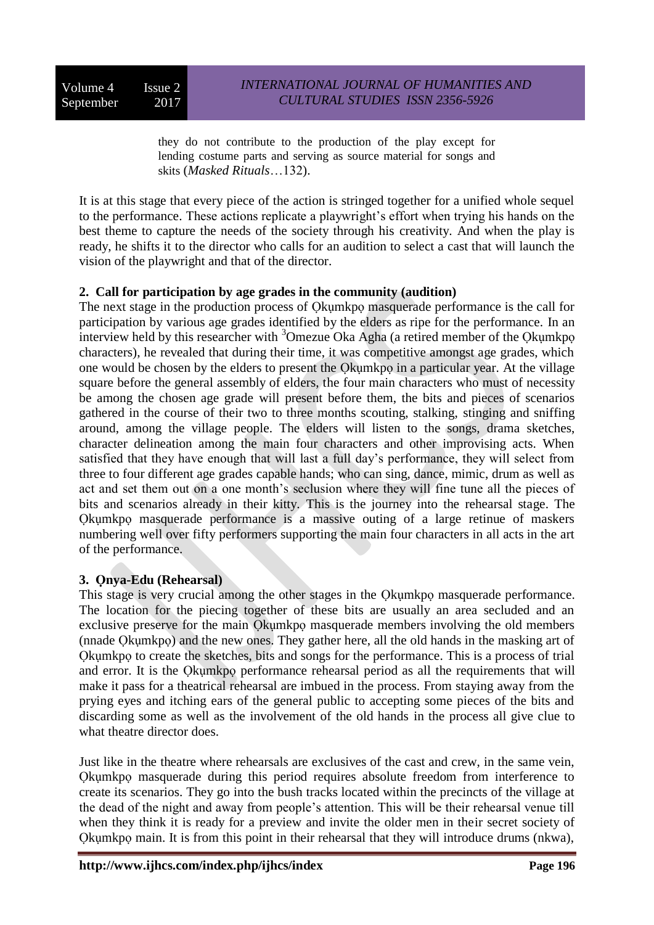Volume 4 Issue 2 September 2017

they do not contribute to the production of the play except for lending costume parts and serving as source material for songs and skits (*Masked Rituals*…132).

It is at this stage that every piece of the action is stringed together for a unified whole sequel to the performance. These actions replicate a playwright's effort when trying his hands on the best theme to capture the needs of the society through his creativity. And when the play is ready, he shifts it to the director who calls for an audition to select a cast that will launch the vision of the playwright and that of the director.

## **2. Call for participation by age grades in the community (audition)**

The next stage in the production process of Okumkpo masquerade performance is the call for participation by various age grades identified by the elders as ripe for the performance. In an interview held by this researcher with  $3$ Omezue Oka Agha (a retired member of the Okumkpo characters), he revealed that during their time, it was competitive amongst age grades, which one would be chosen by the elders to present the Ọkụmkpọ in a particular year. At the village square before the general assembly of elders, the four main characters who must of necessity be among the chosen age grade will present before them, the bits and pieces of scenarios gathered in the course of their two to three months scouting, stalking, stinging and sniffing around, among the village people. The elders will listen to the songs, drama sketches, character delineation among the main four characters and other improvising acts. When satisfied that they have enough that will last a full day's performance, they will select from three to four different age grades capable hands; who can sing, dance, mimic, drum as well as act and set them out on a one month's seclusion where they will fine tune all the pieces of bits and scenarios already in their kitty. This is the journey into the rehearsal stage. The Ọkụmkpọ masquerade performance is a massive outing of a large retinue of maskers numbering well over fifty performers supporting the main four characters in all acts in the art of the performance.

## **3. Ọnya-Edu (Rehearsal)**

This stage is very crucial among the other stages in the Qkumkpo masquerade performance. The location for the piecing together of these bits are usually an area secluded and an exclusive preserve for the main Ọkụmkpọ masquerade members involving the old members (nnade Ọkụmkpọ) and the new ones. They gather here, all the old hands in the masking art of Ọkụmkpọ to create the sketches, bits and songs for the performance. This is a process of trial and error. It is the Ọkụmkpọ performance rehearsal period as all the requirements that will make it pass for a theatrical rehearsal are imbued in the process. From staying away from the prying eyes and itching ears of the general public to accepting some pieces of the bits and discarding some as well as the involvement of the old hands in the process all give clue to what theatre director does.

Just like in the theatre where rehearsals are exclusives of the cast and crew, in the same vein, Okumkpo masquerade during this period requires absolute freedom from interference to create its scenarios. They go into the bush tracks located within the precincts of the village at the dead of the night and away from people's attention. This will be their rehearsal venue till when they think it is ready for a preview and invite the older men in their secret society of Okumkpo main. It is from this point in their rehearsal that they will introduce drums (nkwa),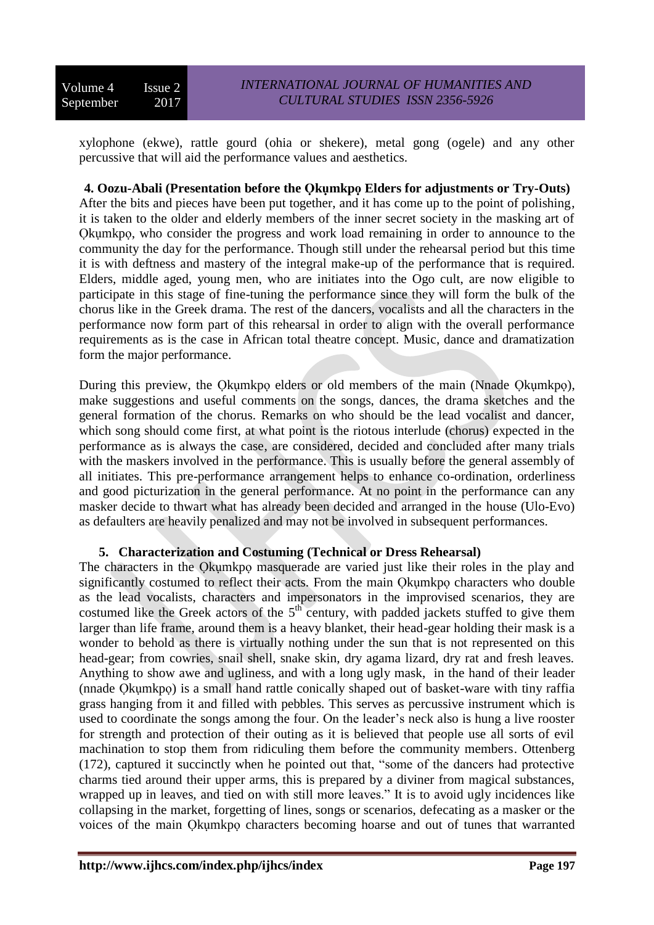xylophone (ekwe), rattle gourd (ohia or shekere), metal gong (ogele) and any other percussive that will aid the performance values and aesthetics.

## **4. Oozu-Abali (Presentation before the Ọkụmkpọ Elders for adjustments or Try-Outs)**

After the bits and pieces have been put together, and it has come up to the point of polishing, it is taken to the older and elderly members of the inner secret society in the masking art of Okumkpo, who consider the progress and work load remaining in order to announce to the community the day for the performance. Though still under the rehearsal period but this time it is with deftness and mastery of the integral make-up of the performance that is required. Elders, middle aged, young men, who are initiates into the Ogo cult, are now eligible to participate in this stage of fine-tuning the performance since they will form the bulk of the chorus like in the Greek drama. The rest of the dancers, vocalists and all the characters in the performance now form part of this rehearsal in order to align with the overall performance requirements as is the case in African total theatre concept. Music, dance and dramatization form the major performance.

During this preview, the Okumkpo elders or old members of the main (Nnade Okumkpo), make suggestions and useful comments on the songs, dances, the drama sketches and the general formation of the chorus. Remarks on who should be the lead vocalist and dancer, which song should come first, at what point is the riotous interlude (chorus) expected in the performance as is always the case, are considered, decided and concluded after many trials with the maskers involved in the performance. This is usually before the general assembly of all initiates. This pre-performance arrangement helps to enhance co-ordination, orderliness and good picturization in the general performance. At no point in the performance can any masker decide to thwart what has already been decided and arranged in the house (Ulo-Evo) as defaulters are heavily penalized and may not be involved in subsequent performances.

## **5. Characterization and Costuming (Technical or Dress Rehearsal)**

The characters in the Okumkpo masquerade are varied just like their roles in the play and significantly costumed to reflect their acts. From the main Qkumkpo characters who double as the lead vocalists, characters and impersonators in the improvised scenarios, they are costumed like the Greek actors of the  $5<sup>th</sup>$  century, with padded jackets stuffed to give them larger than life frame, around them is a heavy blanket, their head-gear holding their mask is a wonder to behold as there is virtually nothing under the sun that is not represented on this head-gear; from cowries, snail shell, snake skin, dry agama lizard, dry rat and fresh leaves. Anything to show awe and ugliness, and with a long ugly mask, in the hand of their leader (nnade Ọkụmkpọ) is a small hand rattle conically shaped out of basket-ware with tiny raffia grass hanging from it and filled with pebbles. This serves as percussive instrument which is used to coordinate the songs among the four. On the leader's neck also is hung a live rooster for strength and protection of their outing as it is believed that people use all sorts of evil machination to stop them from ridiculing them before the community members. Ottenberg (172), captured it succinctly when he pointed out that, "some of the dancers had protective charms tied around their upper arms, this is prepared by a diviner from magical substances, wrapped up in leaves, and tied on with still more leaves." It is to avoid ugly incidences like collapsing in the market, forgetting of lines, songs or scenarios, defecating as a masker or the voices of the main Ọkụmkpọ characters becoming hoarse and out of tunes that warranted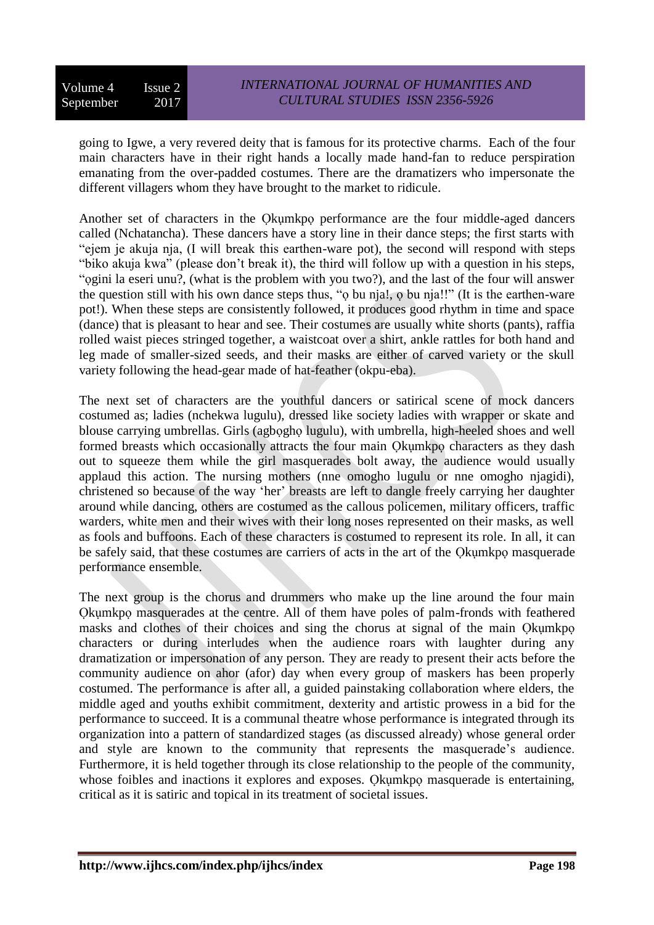going to Igwe, a very revered deity that is famous for its protective charms. Each of the four main characters have in their right hands a locally made hand-fan to reduce perspiration emanating from the over-padded costumes. There are the dramatizers who impersonate the different villagers whom they have brought to the market to ridicule.

Another set of characters in the Ọkụmkpọ performance are the four middle-aged dancers called (Nchatancha). These dancers have a story line in their dance steps; the first starts with "ejem je akuja nja, (I will break this earthen-ware pot), the second will respond with steps "biko akuja kwa" (please don't break it), the third will follow up with a question in his steps, "ọgini la eseri unu?, (what is the problem with you two?), and the last of the four will answer the question still with his own dance steps thus, "ọ bu nja!, ọ bu nja!!" (It is the earthen-ware pot!). When these steps are consistently followed, it produces good rhythm in time and space (dance) that is pleasant to hear and see. Their costumes are usually white shorts (pants), raffia rolled waist pieces stringed together, a waistcoat over a shirt, ankle rattles for both hand and leg made of smaller-sized seeds, and their masks are either of carved variety or the skull variety following the head-gear made of hat-feather (okpu-eba).

The next set of characters are the youthful dancers or satirical scene of mock dancers costumed as; ladies (nchekwa lugulu), dressed like society ladies with wrapper or skate and blouse carrying umbrellas. Girls (agbọghọ lugulu), with umbrella, high-heeled shoes and well formed breasts which occasionally attracts the four main Okumkpo characters as they dash out to squeeze them while the girl masquerades bolt away, the audience would usually applaud this action. The nursing mothers (nne omogho lugulu or nne omogho njagidi), christened so because of the way 'her' breasts are left to dangle freely carrying her daughter around while dancing, others are costumed as the callous policemen, military officers, traffic warders, white men and their wives with their long noses represented on their masks, as well as fools and buffoons. Each of these characters is costumed to represent its role. In all, it can be safely said, that these costumes are carriers of acts in the art of the Ọkụmkpọ masquerade performance ensemble.

The next group is the chorus and drummers who make up the line around the four main Okumkpo masquerades at the centre. All of them have poles of palm-fronds with feathered masks and clothes of their choices and sing the chorus at signal of the main Ọkụmkpọ characters or during interludes when the audience roars with laughter during any dramatization or impersonation of any person. They are ready to present their acts before the community audience on ahor (afor) day when every group of maskers has been properly costumed. The performance is after all, a guided painstaking collaboration where elders, the middle aged and youths exhibit commitment, dexterity and artistic prowess in a bid for the performance to succeed. It is a communal theatre whose performance is integrated through its organization into a pattern of standardized stages (as discussed already) whose general order and style are known to the community that represents the masquerade's audience. Furthermore, it is held together through its close relationship to the people of the community, whose foibles and inactions it explores and exposes. Okumkpo masquerade is entertaining, critical as it is satiric and topical in its treatment of societal issues.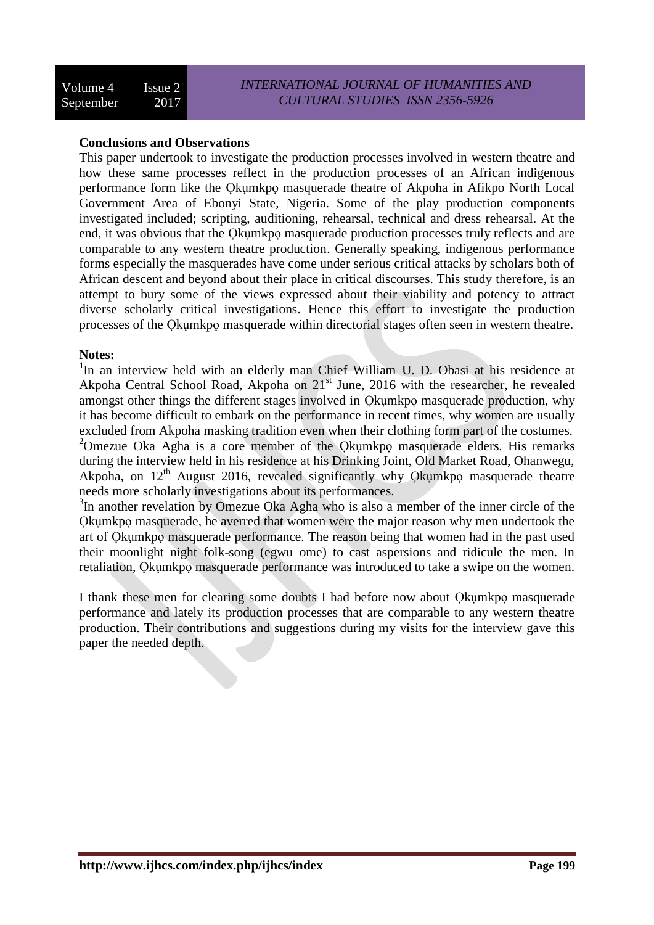#### **Conclusions and Observations**

This paper undertook to investigate the production processes involved in western theatre and how these same processes reflect in the production processes of an African indigenous performance form like the Ọkụmkpọ masquerade theatre of Akpoha in Afikpo North Local Government Area of Ebonyi State, Nigeria. Some of the play production components investigated included; scripting, auditioning, rehearsal, technical and dress rehearsal. At the end, it was obvious that the Ọkụmkpọ masquerade production processes truly reflects and are comparable to any western theatre production. Generally speaking, indigenous performance forms especially the masquerades have come under serious critical attacks by scholars both of African descent and beyond about their place in critical discourses. This study therefore, is an attempt to bury some of the views expressed about their viability and potency to attract diverse scholarly critical investigations. Hence this effort to investigate the production processes of the Ọkụmkpọ masquerade within directorial stages often seen in western theatre.

#### **Notes:**

<sup>1</sup>In an interview held with an elderly man Chief William U. D. Obasi at his residence at Akpoha Central School Road, Akpoha on 21st June, 2016 with the researcher, he revealed amongst other things the different stages involved in Ọkụmkpọ masquerade production, why it has become difficult to embark on the performance in recent times, why women are usually excluded from Akpoha masking tradition even when their clothing form part of the costumes. <sup>2</sup>Omezue Oka Agha is a core member of the Qkumkpo masquerade elders. His remarks during the interview held in his residence at his Drinking Joint, Old Market Road, Ohanwegu, Akpoha, on 12<sup>th</sup> August 2016, revealed significantly why Qkumkpo masquerade theatre needs more scholarly investigations about its performances.

<sup>3</sup>In another revelation by Omezue Oka Agha who is also a member of the inner circle of the Ọkụmkpọ masquerade, he averred that women were the major reason why men undertook the art of Ọkụmkpọ masquerade performance. The reason being that women had in the past used their moonlight night folk-song (egwu ome) to cast aspersions and ridicule the men. In retaliation, Okumkpo masquerade performance was introduced to take a swipe on the women.

I thank these men for clearing some doubts I had before now about Okumkpo masquerade performance and lately its production processes that are comparable to any western theatre production. Their contributions and suggestions during my visits for the interview gave this paper the needed depth.